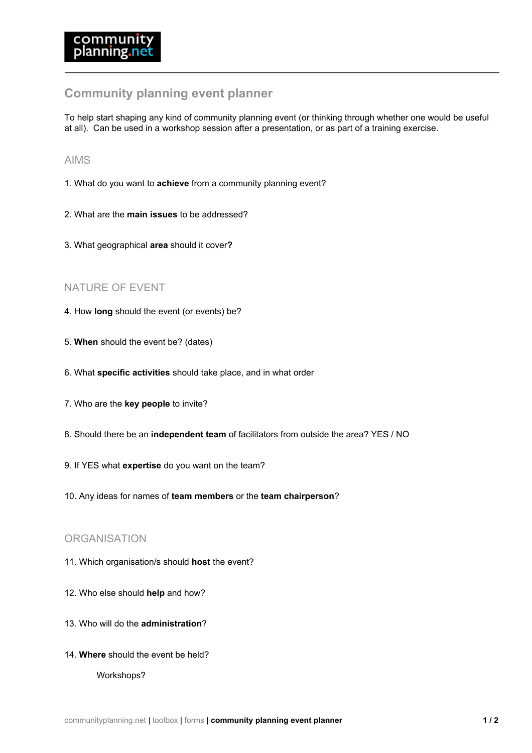# **Community planning event planner**

To help start shaping any kind of community planning event (or thinking through whether one would be useful at all). Can be used in a workshop session after a presentation, or as part of a training exercise.

### AIMS

- 1. What do you want to **achieve** from a community planning event?
- 2. What are the **main issues** to be addressed?
- 3. What geographical **area** should it cover**?**

## NATURE OF EVENT

- 4. How **long** should the event (or events) be?
- 5. **When** should the event be? (dates)
- 6. What **specific activities** should take place, and in what order
- 7. Who are the **key people** to invite?
- 8. Should there be an **independent team** of facilitators from outside the area? YES / NO
- 9. If YES what **expertise** do you want on the team?
- 10. Any ideas for names of **team members** or the **team chairperson**?

## **ORGANISATION**

- 11. Which organisation/s should **host** the event?
- 12. Who else should **help** and how?
- 13. Who will do the **administration**?
- 14. **Where** should the event be held?

Workshops?